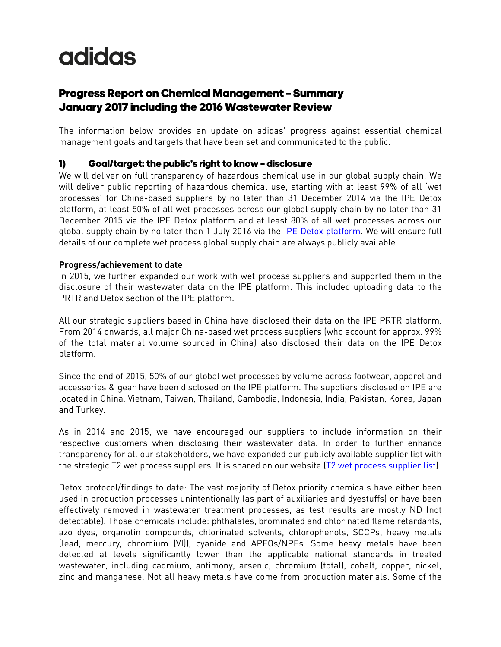# **adidas**

# Progress Report on Chemical Management – Summary January 2017 including the 2016 Wastewater Review

The information below provides an update on adidas' progress against essential chemical management goals and targets that have been set and communicated to the public.

# 1) Goal/target: the public's right to know – disclosure

We will deliver on full transparency of hazardous chemical use in our global supply chain. We will deliver public reporting of hazardous chemical use, starting with at least 99% of all 'wet processes' for China-based suppliers by no later than 31 December 2014 via the IPE Detox platform, at least 50% of all wet processes across our global supply chain by no later than 31 December 2015 via the IPE Detox platform and at least 80% of all wet processes across our global supply chain by no later than 1 July 2016 via the [IPE Detox platform.](http://wwwen.ipe.org.cn/IndustryRecord/Regulatory.aspx) We will ensure full details of our complete wet process global supply chain are always publicly available.

## **Progress/achievement to date**

In 2015, we further expanded our work with wet process suppliers and supported them in the disclosure of their wastewater data on the IPE platform. This included uploading data to the PRTR and Detox section of the IPE platform.

All our strategic suppliers based in China have disclosed their data on the IPE PRTR platform. From 2014 onwards, all major China-based wet process suppliers (who account for approx. 99% of the total material volume sourced in China) also disclosed their data on the IPE Detox platform.

Since the end of 2015, 50% of our global wet processes by volume across footwear, apparel and accessories & gear have been disclosed on the IPE platform. The suppliers disclosed on IPE are located in China, Vietnam, Taiwan, Thailand, Cambodia, Indonesia, India, Pakistan, Korea, Japan and Turkey.

As in 2014 and 2015, we have encouraged our suppliers to include information on their respective customers when disclosing their wastewater data. In order to further enhance transparency for all our stakeholders, we have expanded our publicly available supplier list with the strategic T2 wet process suppliers. It is shared on our website [\(T2 wet process supplier list\)](http://www.adidas-group.com/media/filer_public/e1/be/e1bea106-29a3-41bd-8546-7d23108bc578/t2_suppliers_may_2016.pdf).

Detox protocol/findings to date: The vast majority of Detox priority chemicals have either been used in production processes unintentionally (as part of auxiliaries and dyestuffs) or have been effectively removed in wastewater treatment processes, as test results are mostly ND (not detectable). Those chemicals include: phthalates, brominated and chlorinated flame retardants, azo dyes, organotin compounds, chlorinated solvents, chlorophenols, SCCPs, heavy metals (lead, mercury, chromium (VI)), cyanide and APEOs/NPEs. Some heavy metals have been detected at levels significantly lower than the applicable national standards in treated wastewater, including cadmium, antimony, arsenic, chromium (total), cobalt, copper, nickel, zinc and manganese. Not all heavy metals have come from production materials. Some of the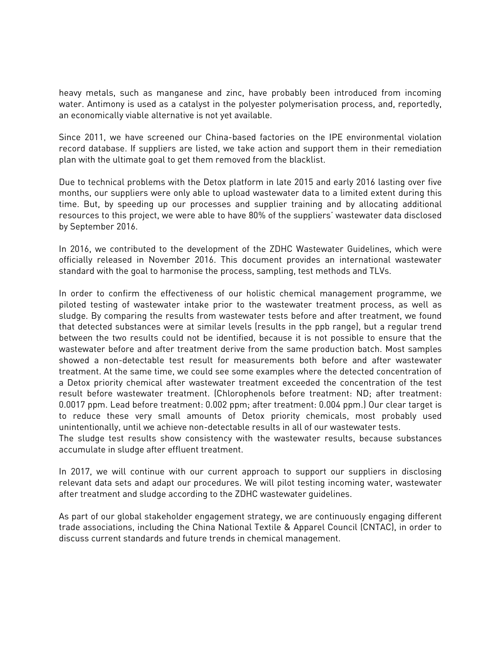heavy metals, such as manganese and zinc, have probably been introduced from incoming water. Antimony is used as a catalyst in the polyester polymerisation process, and, reportedly, an economically viable alternative is not yet available.

Since 2011, we have screened our China-based factories on the IPE environmental violation record database. If suppliers are listed, we take action and support them in their remediation plan with the ultimate goal to get them removed from the blacklist.

Due to technical problems with the Detox platform in late 2015 and early 2016 lasting over five months, our suppliers were only able to upload wastewater data to a limited extent during this time. But, by speeding up our processes and supplier training and by allocating additional resources to this project, we were able to have 80% of the suppliers' wastewater data disclosed by September 2016.

In 2016, we contributed to the development of the ZDHC Wastewater Guidelines, which were officially released in November 2016. This document provides an international wastewater standard with the goal to harmonise the process, sampling, test methods and TLVs.

In order to confirm the effectiveness of our holistic chemical management programme, we piloted testing of wastewater intake prior to the wastewater treatment process, as well as sludge. By comparing the results from wastewater tests before and after treatment, we found that detected substances were at similar levels (results in the ppb range), but a regular trend between the two results could not be identified, because it is not possible to ensure that the wastewater before and after treatment derive from the same production batch. Most samples showed a non-detectable test result for measurements both before and after wastewater treatment. At the same time, we could see some examples where the detected concentration of a Detox priority chemical after wastewater treatment exceeded the concentration of the test result before wastewater treatment. (Chlorophenols before treatment: ND; after treatment: 0.0017 ppm. Lead before treatment: 0.002 ppm; after treatment: 0.004 ppm.) Our clear target is to reduce these very small amounts of Detox priority chemicals, most probably used unintentionally, until we achieve non-detectable results in all of our wastewater tests.

The sludge test results show consistency with the wastewater results, because substances accumulate in sludge after effluent treatment.

In 2017, we will continue with our current approach to support our suppliers in disclosing relevant data sets and adapt our procedures. We will pilot testing incoming water, wastewater after treatment and sludge according to the ZDHC wastewater guidelines.

As part of our global stakeholder engagement strategy, we are continuously engaging different trade associations, including the China National Textile & Apparel Council (CNTAC), in order to discuss current standards and future trends in chemical management.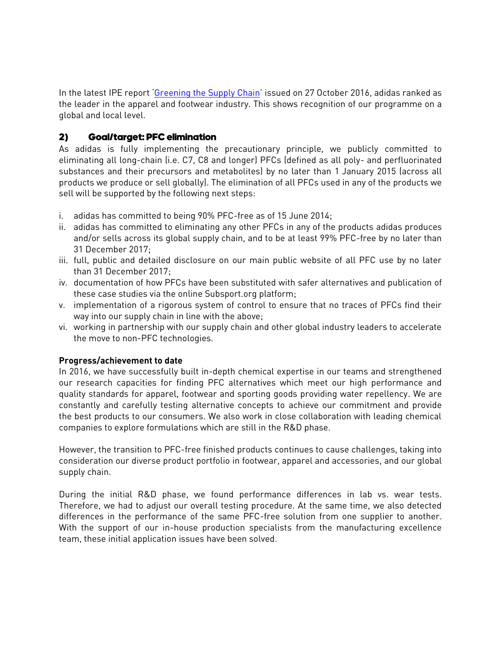In the latest IPE report '[Greening the Supply Chain](http://wwwoa.ipe.org.cn/Upload/201610280455082261.pdf)' issued on 27 October 2016, adidas ranked as the leader in the apparel and footwear industry. This shows recognition of our programme on a global and local level.

# 2) Goal/target: PFC elimination

As adidas is fully implementing the precautionary principle, we publicly committed to eliminating all long-chain (i.e. C7, C8 and longer) PFCs (defined as all poly- and perfluorinated substances and their precursors and metabolites) by no later than 1 January 2015 (across all products we produce or sell globally). The elimination of all PFCs used in any of the products we sell will be supported by the following next steps:

- i. adidas has committed to being 90% PFC-free as of 15 June 2014;
- ii. adidas has committed to eliminating any other PFCs in any of the products adidas produces and/or sells across its global supply chain, and to be at least 99% PFC-free by no later than 31 December 2017;
- iii. full, public and detailed disclosure on our main public website of all PFC use by no later than 31 December 2017;
- iv. documentation of how PFCs have been substituted with safer alternatives and publication of these case studies via the online Subsport.org platform;
- v. implementation of a rigorous system of control to ensure that no traces of PFCs find their way into our supply chain in line with the above;
- vi. working in partnership with our supply chain and other global industry leaders to accelerate the move to non-PFC technologies.

#### **Progress/achievement to date**

In 2016, we have successfully built in-depth chemical expertise in our teams and strengthened our research capacities for finding PFC alternatives which meet our high performance and quality standards for apparel, footwear and sporting goods providing water repellency. We are constantly and carefully testing alternative concepts to achieve our commitment and provide the best products to our consumers. We also work in close collaboration with leading chemical companies to explore formulations which are still in the R&D phase.

However, the transition to PFC-free finished products continues to cause challenges, taking into consideration our diverse product portfolio in footwear, apparel and accessories, and our global supply chain.

During the initial R&D phase, we found performance differences in lab vs. wear tests. Therefore, we had to adjust our overall testing procedure. At the same time, we also detected differences in the performance of the same PFC-free solution from one supplier to another. With the support of our in-house production specialists from the manufacturing excellence team, these initial application issues have been solved.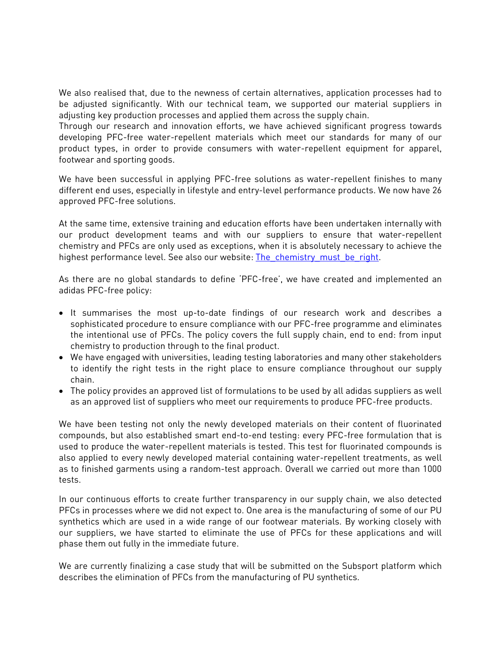We also realised that, due to the newness of certain alternatives, application processes had to be adjusted significantly. With our technical team, we supported our material suppliers in adjusting key production processes and applied them across the supply chain.

Through our research and innovation efforts, we have achieved significant progress towards developing PFC-free water-repellent materials which meet our standards for many of our product types, in order to provide consumers with water-repellent equipment for apparel, footwear and sporting goods.

We have been successful in applying PFC-free solutions as water-repellent finishes to many different end uses, especially in lifestyle and entry-level performance products. We now have 26 approved PFC-free solutions.

At the same time, extensive training and education efforts have been undertaken internally with our product development teams and with our suppliers to ensure that water-repellent chemistry and PFCs are only used as exceptions, when it is absolutely necessary to achieve the highest performance level. See also our website: The chemistry must be right.

As there are no global standards to define 'PFC-free', we have created and implemented an adidas PFC-free policy:

- It summarises the most up-to-date findings of our research work and describes a sophisticated procedure to ensure compliance with our PFC-free programme and eliminates the intentional use of PFCs. The policy covers the full supply chain, end to end: from input chemistry to production through to the final product.
- We have engaged with universities, leading testing laboratories and many other stakeholders to identify the right tests in the right place to ensure compliance throughout our supply chain.
- The policy provides an approved list of formulations to be used by all adidas suppliers as well as an approved list of suppliers who meet our requirements to produce PFC-free products.

We have been testing not only the newly developed materials on their content of fluorinated compounds, but also established smart end-to-end testing: every PFC-free formulation that is used to produce the water-repellent materials is tested. This test for fluorinated compounds is also applied to every newly developed material containing water-repellent treatments, as well as to finished garments using a random-test approach. Overall we carried out more than 1000 tests.

In our continuous efforts to create further transparency in our supply chain, we also detected PFCs in processes where we did not expect to. One area is the manufacturing of some of our PU synthetics which are used in a wide range of our footwear materials. By working closely with our suppliers, we have started to eliminate the use of PFCs for these applications and will phase them out fully in the immediate future.

We are currently finalizing a case study that will be submitted on the Subsport platform which describes the elimination of PFCs from the manufacturing of PU synthetics.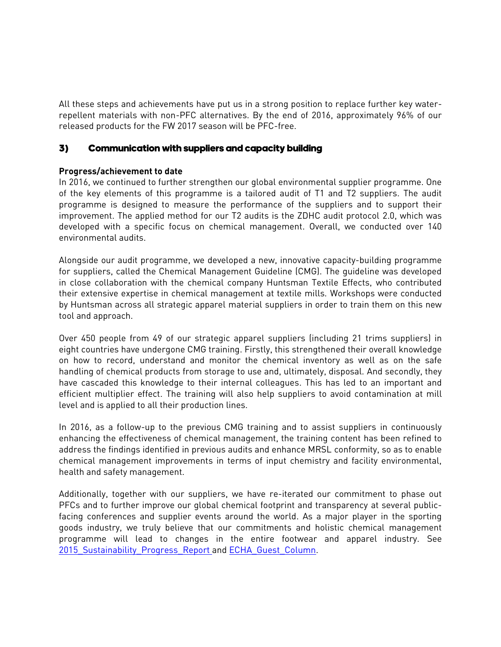All these steps and achievements have put us in a strong position to replace further key waterrepellent materials with non-PFC alternatives. By the end of 2016, approximately 96% of our released products for the FW 2017 season will be PFC-free.

## 3) Communication with suppliers and capacity building

## **Progress/achievement to date**

In 2016, we continued to further strengthen our global environmental supplier programme. One of the key elements of this programme is a tailored audit of T1 and T2 suppliers. The audit programme is designed to measure the performance of the suppliers and to support their improvement. The applied method for our T2 audits is the ZDHC audit protocol 2.0, which was developed with a specific focus on chemical management. Overall, we conducted over 140 environmental audits.

Alongside our audit programme, we developed a new, innovative capacity-building programme for suppliers, called the Chemical Management Guideline (CMG). The guideline was developed in close collaboration with the chemical company Huntsman Textile Effects, who contributed their extensive expertise in chemical management at textile mills. Workshops were conducted by Huntsman across all strategic apparel material suppliers in order to train them on this new tool and approach.

Over 450 people from 49 of our strategic apparel suppliers (including 21 trims suppliers) in eight countries have undergone CMG training. Firstly, this strengthened their overall knowledge on how to record, understand and monitor the chemical inventory as well as on the safe handling of chemical products from storage to use and, ultimately, disposal. And secondly, they have cascaded this knowledge to their internal colleagues. This has led to an important and efficient multiplier effect. The training will also help suppliers to avoid contamination at mill level and is applied to all their production lines.

In 2016, as a follow-up to the previous CMG training and to assist suppliers in continuously enhancing the effectiveness of chemical management, the training content has been refined to address the findings identified in previous audits and enhance MRSL conformity, so as to enable chemical management improvements in terms of input chemistry and facility environmental, health and safety management.

Additionally, together with our suppliers, we have re-iterated our commitment to phase out PFCs and to further improve our global chemical footprint and transparency at several publicfacing conferences and supplier events around the world. As a major player in the sporting goods industry, we truly believe that our commitments and holistic chemical management programme will lead to changes in the entire footwear and apparel industry. See 2015 Sustainability Progress Report and ECHA Guest Column.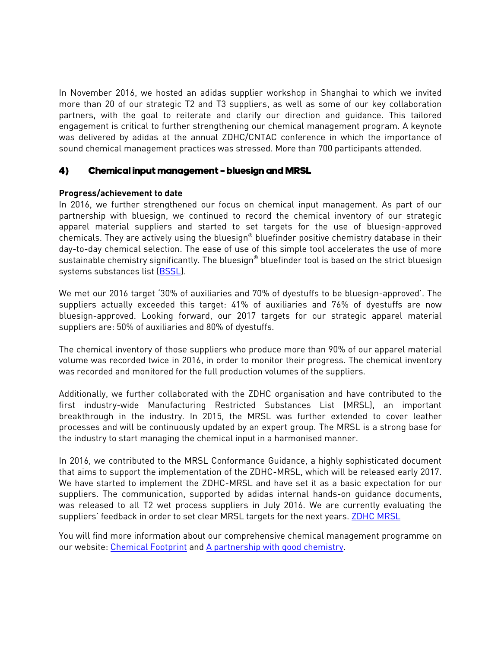In November 2016, we hosted an adidas supplier workshop in Shanghai to which we invited more than 20 of our strategic T2 and T3 suppliers, as well as some of our key collaboration partners, with the goal to reiterate and clarify our direction and guidance. This tailored engagement is critical to further strengthening our chemical management program. A keynote was delivered by adidas at the annual ZDHC/CNTAC conference in which the importance of sound chemical management practices was stressed. More than 700 participants attended.

#### 4) Chemical input management – bluesign and MRSL

#### **Progress/achievement to date**

In 2016, we further strengthened our focus on chemical input management. As part of our partnership with bluesign, we continued to record the chemical inventory of our strategic apparel material suppliers and started to set targets for the use of bluesign-approved chemicals. They are actively using the bluesign® bluefinder positive chemistry database in their day-to-day chemical selection. The ease of use of this simple tool accelerates the use of more sustainable chemistry significantly. The bluesign $^\circ$  bluefinder tool is based on the strict bluesign systems substances list [\(BSSL\)](http://www.bluesign.com/de/industry/infocenter/downloads).

We met our 2016 target '30% of auxiliaries and 70% of dyestuffs to be bluesign-approved'. The suppliers actually exceeded this target: 41% of auxiliaries and 76% of dyestuffs are now bluesign-approved. Looking forward, our 2017 targets for our strategic apparel material suppliers are: 50% of auxiliaries and 80% of dyestuffs.

The chemical inventory of those suppliers who produce more than 90% of our apparel material volume was recorded twice in 2016, in order to monitor their progress. The chemical inventory was recorded and monitored for the full production volumes of the suppliers.

Additionally, we further collaborated with the ZDHC organisation and have contributed to the first industry-wide Manufacturing Restricted Substances List (MRSL), an important breakthrough in the industry. In 2015, the MRSL was further extended to cover leather processes and will be continuously updated by an expert group. The MRSL is a strong base for the industry to start managing the chemical input in a harmonised manner.

In 2016, we contributed to the MRSL Conformance Guidance, a highly sophisticated document that aims to support the implementation of the ZDHC-MRSL, which will be released early 2017. We have started to implement the ZDHC-MRSL and have set it as a basic expectation for our suppliers. The communication, supported by adidas internal hands-on guidance documents, was released to all T2 wet process suppliers in July 2016. We are currently evaluating the suppliers' feedback in order to set clear MRSL targets for the next years. [ZDHC MRSL](http://www.roadmaptozero.com/fileadmin/pdf/MRSL_v1_1.pdf)

You will find more information about our comprehensive chemical management programme on our website: [Chemical Footprint](http://www.adidas-group.com/en/sustainability/products/chemical-footprint/) and [A partnership with good chemistry.](http://www.adidas-group.com/en/group/backgroundstories/commitment/a-partnership-with-good-chemistry/)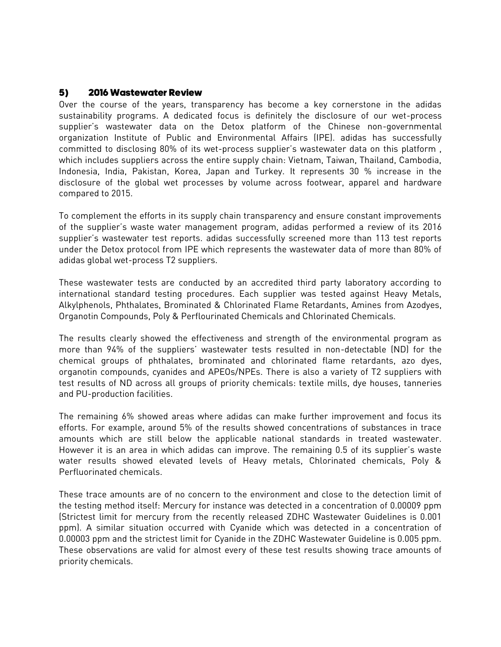#### 5) 2016 Wastewater Review

Over the course of the years, transparency has become a key cornerstone in the adidas sustainability programs. A dedicated focus is definitely the disclosure of our wet-process supplier's wastewater data on the Detox platform of the Chinese non-governmental organization Institute of Public and Environmental Affairs (IPE). adidas has successfully committed to disclosing 80% of its wet-process supplier's wastewater data on this platform , which includes suppliers across the entire supply chain: Vietnam, Taiwan, Thailand, Cambodia, Indonesia, India, Pakistan, Korea, Japan and Turkey. It represents 30 % increase in the disclosure of the global wet processes by volume across footwear, apparel and hardware compared to 2015.

To complement the efforts in its supply chain transparency and ensure constant improvements of the supplier's waste water management program, adidas performed a review of its 2016 supplier's wastewater test reports. adidas successfully screened more than 113 test reports under the Detox protocol from IPE which represents the wastewater data of more than 80% of adidas global wet-process T2 suppliers.

These wastewater tests are conducted by an accredited third party laboratory according to international standard testing procedures. Each supplier was tested against Heavy Metals, Alkylphenols, Phthalates, Brominated & Chlorinated Flame Retardants, Amines from Azodyes, Organotin Compounds, Poly & Perflourinated Chemicals and Chlorinated Chemicals.

The results clearly showed the effectiveness and strength of the environmental program as more than 94% of the suppliers' wastewater tests resulted in non-detectable (ND) for the chemical groups of phthalates, brominated and chlorinated flame retardants, azo dyes, organotin compounds, cyanides and APEOs/NPEs. There is also a variety of T2 suppliers with test results of ND across all groups of priority chemicals: textile mills, dye houses, tanneries and PU-production facilities.

The remaining 6% showed areas where adidas can make further improvement and focus its efforts. For example, around 5% of the results showed concentrations of substances in trace amounts which are still below the applicable national standards in treated wastewater. However it is an area in which adidas can improve. The remaining 0.5 of its supplier's waste water results showed elevated levels of Heavy metals, Chlorinated chemicals, Poly & Perfluorinated chemicals.

These trace amounts are of no concern to the environment and close to the detection limit of the testing method itself: Mercury for instance was detected in a concentration of 0.00009 ppm (Strictest limit for mercury from the recently released ZDHC Wastewater Guidelines is 0.001 ppm). A similar situation occurred with Cyanide which was detected in a concentration of 0.00003 ppm and the strictest limit for Cyanide in the ZDHC Wastewater Guideline is 0.005 ppm. These observations are valid for almost every of these test results showing trace amounts of priority chemicals.